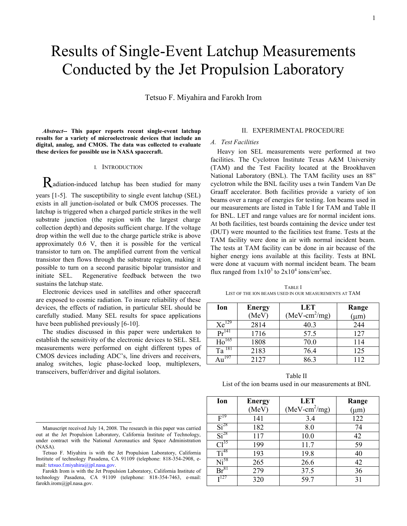# Results of Single-Event Latchup Measurements Conducted by the Jet Propulsion Laboratory

Tetsuo F. Miyahira and Farokh Irom

*Abstract***-- This paper reports recent single-event latchup results for a variety of microelectronic devices that include an digital, analog, and CMOS. The data was collected to evaluate these devices for possible use in NASA spacecraft.** 

## I. INTRODUCTION

Radiation-induced latchup has been studied for many years [1-5]. The susceptibility to single event latchup (SEL) exists in all junction-isolated or bulk CMOS processes. The latchup is triggered when a charged particle strikes in the well substrate junction (the region with the largest charge collection depth) and deposits sufficient charge. If the voltage drop within the well due to the charge particle strike is above approximately 0.6 V, then it is possible for the vertical transistor to turn on. The amplified current from the vertical transistor then flows through the substrate region, making it possible to turn on a second parasitic bipolar transistor and initiate SEL. Regenerative feedback between the two sustains the latchup state.

Electronic devices used in satellites and other spacecraft are exposed to cosmic radiation. To insure reliability of these devices, the effects of radiation, in particular SEL should be carefully studied. Many SEL results for space applications have been published previously [6-10].

The studies discussed in this paper were undertaken to establish the sensitivity of the electronic devices to SEL. SEL measurements were performed on eight different types of CMOS devices including ADC's, line drivers and receivers, analog switches, logic phase-locked loop, multiplexers, transceivers, buffer/driver and digital isolators.

# II. EXPERIMENTAL PROCEDURE

# *A. Test Facilities*

Heavy ion SEL measurements were performed at two facilities. The Cyclotron Institute Texas A&M University (TAM) and the Test Facility located at the Brookhaven National Laboratory (BNL). The TAM facility uses an 88" cyclotron while the BNL facility uses a twin Tandem Van De Graaff accelerator. Both facilities provide a variety of ion beams over a range of energies for testing. Ion beams used in our measurements are listed in Table I for TAM and Table II for BNL. LET and range values are for normal incident ions. At both facilities, test boards containing the device under test (DUT) were mounted to the facilities test frame. Tests at the TAM facility were done in air with normal incident beam. The tests at TAM facility can be done in air because of the higher energy ions available at this facility. Tests at BNL were done at vacuum with normal incident beam. The beam flux ranged from  $1x10^3$  to  $2x10^4$  ions/cm<sup>2</sup>sec.

TABLE I LIST OF THE ION BEAMS USED IN OUR MEASUREMENTS AT TAM

| Ion               | <b>Energy</b> | LET             | Range     |
|-------------------|---------------|-----------------|-----------|
|                   | (MeV)         | $(MeV-cm^2/mg)$ | $(\mu m)$ |
| $Xe^{129}$        | 2814          | 40.3            | 244       |
| $\rm Pr^{141}$    | 1716          | 57.5            | 127       |
| Ho <sup>165</sup> | 1808          | 70.0            | 114       |
| Ta                | 2183          | 76.4            | 125       |
|                   | 2127          | 86.3            |           |

Table II List of the ion beams used in our measurements at BNL

| Ion              | <b>Energy</b> | <b>LET</b>      | Range     |
|------------------|---------------|-----------------|-----------|
|                  | (MeV)         | $(MeV-cm^2/mg)$ | $(\mu m)$ |
| $F^{19}$         | 141           | 3.4             | 122       |
| Si <sup>28</sup> | 182           | 8.0             | 74        |
| Si <sup>28</sup> | 117           | 10.0            | 42        |
| Cl <sup>35</sup> | 199           | 11.7            | 59        |
| Ti <sup>48</sup> | 193           | 19.8            | 40        |
| $Ni^{58}$        | 265           | 26.6            | 42        |
| $Br^{81}$        | 279           | 37.5            | 36        |
| T <sup>127</sup> | 320           | 59.7            | 31        |

Manuscript received July 14, 2008. The research in this paper was carried out at the Jet Propulsion Laboratory, California Institute of Technology, under contract with the National Aeronautics and Space Administration (NASA).

 $\overline{a}$ 

Tetsuo F. Miyahira is with the Jet Propulsion Laboratory, California Institute of technology Pasadena, CA 91109 (telephone: 818-354-2908, email[: tetsuo.f.miyahira@jpl.nasa.gov.](mailto:tetsuo.f.miyahira@jpl.nasa.gov) 

Farokh Irom is with the Jet Propulsion Laboratory, California Institute of technology Pasadena, CA 91109 (telephone: 818-354-7463, e-mail: farokh.irom@jpl.nasa.gov.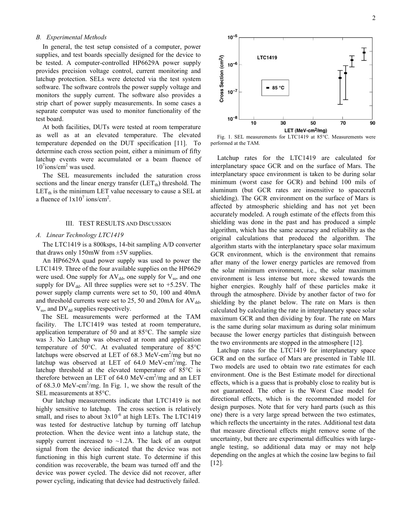# *B. Experimental Methods*

In general, the test setup consisted of a computer, power supplies, and test boards specially designed for the device to be tested. A computer-controlled HP6629A power supply provides precision voltage control, current monitoring and latchup protection. SELs were detected via the test system software. The software controls the power supply voltage and monitors the supply current. The software also provides a strip chart of power supply measurements. In some cases a separate computer was used to monitor functionality of the test board.

At both facilities, DUTs were tested at room temperature as well as at an elevated temperature. The elevated temperature depended on the DUT specification [11]. To determine each cross section point, either a minimum of fifty latchup events were accumulated or a beam fluence of  $10<sup>7</sup>$ ions/cm<sup>2</sup> was used.

The SEL measurements included the saturation cross sections and the linear energy transfer  $(LET<sub>th</sub>)$  threshold. The  $LET<sub>th</sub>$  is the minimum LET value necessary to cause a SEL at a fluence of  $1x10^7$  ions/cm<sup>2</sup>.

#### III. TEST RESULTS AND DISCUSSION

#### *A. Linear Technology LTC1419*

The LTC1419 is a 800ksps, 14-bit sampling A/D converter that draws only 150mW from ±5V supplies.

An HP6629A quad power supply was used to power the LTC1419. Three of the four available supplies on the HP6629 were used. One supply for  $AV_{dd}$ , one supply for  $V_{ss}$ , and one supply for  $DV_{dd}$ . All three supplies were set to +5.25V. The power supply clamp currents were set to 50, 100 and 40mA and threshold currents were set to 25, 50 and 20mA for  $AV_{dd}$ ,  $V_{ss}$ , and  $DV_{dd}$  supplies respectively.

The SEL measurements were performed at the TAM facility. The LTC1419 was tested at room temperature, application temperature of 50 and at 85°C. The sample size was 3. No Latchup was observed at room and application temperature of 50°C. At evaluated temperature of 85°C latchups were observed at LET of  $68.3 \text{ MeV-cm}^2/\text{mg}$  but no latchup was observed at LET of  $64.0$  MeV-cm<sup>2</sup>/mg. The latchup threshold at the elevated temperature of 85°C is therefore between an LET of  $64.0 \text{ MeV-cm}^2/\text{mg}$  and an LET of  $68.3.0 \text{ MeV-cm}^2$ /mg. In Fig. 1, we show the result of the SEL measurements at 85°C.

Our latchup measurements indicate that LTC1419 is not highly sensitive to latchup. The cross section is relatively small, and rises to about  $3x10^{-6}$  at high LETs. The LTC1419 was tested for destructive latchup by turning off latchup protection. When the device went into a latchup state, the supply current increased to  $\sim$ 1.2A. The lack of an output signal from the device indicated that the device was not functioning in this high current state. To determine if this condition was recoverable, the beam was turned off and the device was power cycled. The device did not recover, after power cycling, indicating that device had destructively failed.



Fig. 1. SEL measurements for LTC1419 at 85°C. Measurements were performed at the TAM.

Latchup rates for the LTC1419 are calculated for interplanetary space GCR and on the surface of Mars. The interplanetary space environment is taken to be during solar minimum (worst case for GCR) and behind 100 mils of aluminum (but GCR rates are insensitive to spacecraft shielding). The GCR environment on the surface of Mars is affected by atmospheric shielding and has not yet been accurately modeled. A rough estimate of the effects from this shielding was done in the past and has produced a simple algorithm, which has the same accuracy and reliability as the original calculations that produced the algorithm. The algorithm starts with the interplanetary space solar maximum GCR environment, which is the environment that remains after many of the lower energy particles are removed from the solar minimum environment, i.e., the solar maximum environment is less intense but more skewed towards the higher energies. Roughly half of these particles make it through the atmosphere. Divide by another factor of two for shielding by the planet below. The rate on Mars is then calculated by calculating the rate in interplanetary space solar maximum GCR and then dividing by four. The rate on Mars is the same during solar maximum as during solar minimum because the lower energy particles that distinguish between the two environments are stopped in the atmosphere [12].

Latchup rates for the LTC1419 for interplanetary space GCR and on the surface of Mars are presented in Table III. Two models are used to obtain two rate estimates for each environment. One is the Best Estimate model for directional effects, which is a guess that is probably close to reality but is not guaranteed. The other is the Worst Case model for directional effects, which is the recommended model for design purposes. Note that for very hard parts (such as this one) there is a very large spread between the two estimates, which reflects the uncertainty in the rates. Additional test data that measure directional effects might remove some of the uncertainty, but there are experimental difficulties with largeangle testing, so additional data may or may not help depending on the angles at which the cosine law begins to fail [12].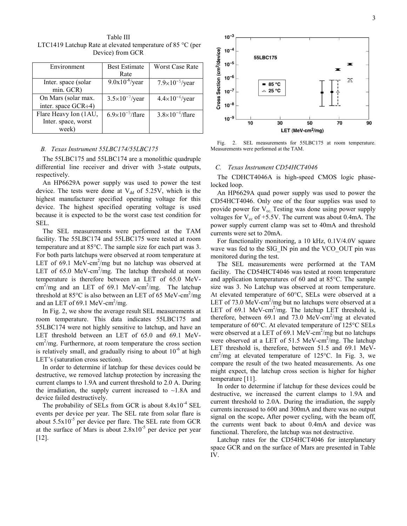| Environment           | <b>Best Estimate</b>        | <b>Worst Case Rate</b>     |
|-----------------------|-----------------------------|----------------------------|
|                       | Rate                        |                            |
| Inter. space (solar   | $9.0x10^{-6}$ /year         | $7.9 \times 10^{-5}$ /year |
| min. GCR)             |                             |                            |
| On Mars (solar max.   | $3.5 \times 10^{-7}$ /year  | $4.4 \times 10^{-6}$ /year |
| inter. space GCR÷4)   |                             |                            |
| Flare Heavy Ion (1AU, | $6.9 \times 10^{-5}$ /flare | $3.8\times10^{-4}$ /flare  |
| Inter. space, worst   |                             |                            |
| week)                 |                             |                            |

Table III LTC1419 Latchup Rate at elevated temperature of 85 °C (per Device) from GCR

# *B. Texas Instrument 55LBC174/55LBC175*

The 55LBC175 and 55LBC174 are a monolithic quadruple differential line receiver and driver with 3-state outputs, respectively.

An HP6629A power supply was used to power the test device. The tests were done at  $V_{dd}$  of 5.25V, which is the highest manufacturer specified operating voltage for this device. The highest specified operating voltage is used because it is expected to be the worst case test condition for SEL.

The SEL measurements were performed at the TAM facility. The 55LBC174 and 55LBC175 were tested at room temperature and at 85°C. The sample size for each part was 3. For both parts latchups were observed at room temperature at LET of  $69.1$  MeV-cm<sup>2</sup>/mg but no latchup was observed at LET of  $65.0$  MeV-cm<sup>2</sup>/mg. The latchup threshold at room temperature is therefore between an LET of 65.0 MeV- $\text{cm}^2/\text{mg}$  and an LET of 69.1 MeV-cm<sup>2</sup>/mg. The latchup threshold at  $85^{\circ}$ C is also between an LET of 65 MeV-cm<sup>2</sup>/mg and an LET of  $69.1 \text{ MeV-cm}^2/\text{mg}$ .

In Fig. 2, we show the average result SEL measurements at room temperature. This data indicates 55LBC175 and 55LBC174 were not highly sensitive to latchup, and have an LET threshold between an LET of 65.0 and 69.1 MeVcm<sup>2</sup>/mg. Furthermore, at room temperature the cross section is relatively small, and gradually rising to about  $10^{-6}$  at high LET's (saturation cross section).

In order to determine if latchup for these devices could be destructive, we removed latchup protection by increasing the current clamps to 1.9A and current threshold to 2.0 A. During the irradiation, the supply current increased to  $\sim$ 1.8A and device failed destructively.

The probability of SELs from GCR is about  $8.4 \times 10^{-4}$  SEL events per device per year. The SEL rate from solar flare is about  $5.5x10^{-5}$  per device per flare. The SEL rate from GCR at the surface of Mars is about  $2.8 \times 10^{-5}$  per device per year [12].



Fig. 2. SEL measurements for 55LBC175 at room temperature. Measurements were performed at the TAM.

## *C. Texas Instrument CD54HCT4046*

The CDHCT4046A is high-speed CMOS logic phaselocked loop.

An HP6629A quad power supply was used to power the CD54HCT4046. Only one of the four supplies was used to provide power for  $V_{cc}$  Testing was done using power supply voltages for  $V_{cc}$  of +5.5V. The current was about 0.4mA. The power supply current clamp was set to 40mA and threshold currents were set to 20mA.

For functionality monitoring, a 10 kHz, 0.1V/4.0V square wave was fed to the SIG\_IN pin and the VCO\_OUT pin was monitored during the test.

The SEL measurements were performed at the TAM facility. The CD54HCT4046 was tested at room temperature and application temperatures of 60 and at 85°C. The sample size was 3. No Latchup was observed at room temperature. At elevated temperature of 60°C, SELs were observed at a LET of 73.0 MeV-cm<sup>2</sup>/mg but no latchups were observed at a LET of 69.1 MeV-cm<sup>2</sup>/mg. The latchup LET threshold is, therefore, between  $69.1$  and  $73.0$  MeV-cm<sup>2</sup>/mg at elevated temperature of 60°C. At elevated temperature of 125°C SELs were observed at a LET of 69.1 MeV-cm<sup>2</sup>/mg but no latchups were observed at a LET of 51.5 MeV-cm<sup>2</sup>/mg. The latchup LET threshold is, therefore, between 51.5 and 69.1 MeV- $\text{cm}^2/\text{mg}$  at elevated temperature of 125°C. In Fig. 3, we compare the result of the two heated measurements. As one might expect, the latchup cross section is higher for higher temperature [11].

In order to determine if latchup for these devices could be destructive, we increased the current clamps to 1.9A and current threshold to 2.0A. During the irradiation, the supply currents increased to 600 and 300mA and there was no output signal on the scope**.** After power cycling, with the beam off, the currents went back to about 0.4mA and device was functional. Therefore, the latchup was not destructive.

Latchup rates for the CD54HCT4046 for interplanetary space GCR and on the surface of Mars are presented in Table IV.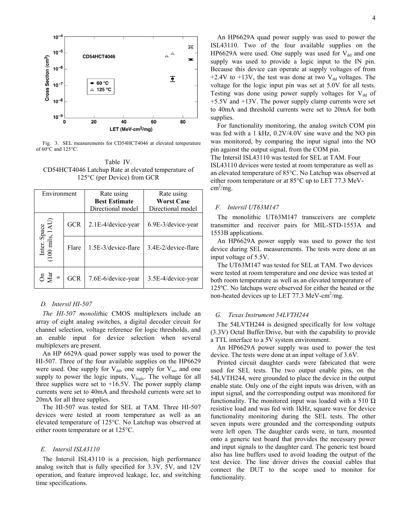

Fig. 3. SEL measurements for CD54HCT4046 at elevated temperature of 60°C and 125°C.

| Environment                                                |            | Rate using           | Rate using          |
|------------------------------------------------------------|------------|----------------------|---------------------|
|                                                            |            | <b>Best Estimate</b> | <b>Worst Case</b>   |
|                                                            |            | Directional model    | Directional model   |
|                                                            | <b>GCR</b> | 2.1E-4/device-year   | 6.9E-3/device-year  |
| Inter. Space<br>100 mils, 1AU)<br>$\overline{\phantom{0}}$ | Flare      | 1.5E-3/device-flare  | 3.4E-2/device-flare |
| රි ජූ<br>s                                                 | <b>GCR</b> | 7.6E-6/device-year   | 3.5E-4/device-year  |

| Table IV.                                           |
|-----------------------------------------------------|
| CD54HCT4046 Latchup Rate at elevated temperature of |
| $125^{\circ}$ C (per Device) from GCR               |

# *D. Intersil HI-507*

*The HI-507 monolit*hic CMOS multiplexers include an array of eight analog switches, a digital decoder circuit for channel selection, voltage reference for logic thresholds, and an enable input for device selection when several multiplexers are present.

An HP 6629A quad power supply was used to power the HI-507. Three of the four available supplies on the HP6629 were used. One supply for  $V_{dd}$ , one supply for  $V_{ss}$ , and one supply to power the logic inputs,  $V_{\text{logic}}$ . The voltage for all three supplies were set to  $+16.5V$ . The power supply clamp currents were set to 40mA and threshold currents were set to 20mA for all three supplies.

The HI-507 was tested for SEL at TAM. Three HI-507 devices were tested at room temperature as well as an elevated temperature of 125°C. No Latchup was observed at either room temperature or at 125°C.

### *E. Intersil ISL43110*

The Intersil ISL43110 is a precision, high performance analog switch that is fully specified for 3.3V, 5V, and 12V operation, and feature improved leakage, Icc, and switching time specifications.

4

An HP6629A quad power supply was used to power the ISL43110. Two of the four available supplies on the HP6629A were used. One supply was used for  $V_{dd}$  and one supply was used to provide a logic input to the IN pin. Because this device can operate at supply voltages of from +2.4V to +13V, the test was done at two  $V_{dd}$  voltages. The voltage for the logic input pin was set at 5.0V for all tests. Testing was done using power supply voltages for  $V_{dd}$  of +5.5V and +13V. The power supply clamp currents were set to 40mA and threshold currents were set to 20mA for both supplies.

For functionality monitoring, the analog switch COM pin was fed with a 1 kHz, 0.2V/4.0V sine wave and the NO pin was monitored, by comparing the input signal into the NO pin against the output signal, from the COM pin.

The Intersil ISL43110 was tested for SEL at TAM. Four ISL43110 devices were tested at room temperature as well as an elevated temperature of 85°C. No Latchup was observed at either room temperature or at 85°C up to LET 77.3 MeV- $\text{cm}^2/\text{mg}$ .

## *F. Intersil UT63M147*

The monolithic UT63M147 transceivers are complete transmitter and receiver pairs for MIL-STD-1553A and 1553B applications.

An HP6629A power supply was used to power the test device during SEL measurements. The tests were done at an input voltage of 5.5V.

The UT63M147 was tested for SEL at TAM. Two devices were tested at room temperature and one device was tested at both room temperature as well as an elevated temperature of 125ºC. No latchups were observed for either the heated or the non-heated devices up to LET 77.3 MeV-cm<sup>2</sup>/mg.

#### *G. Texas Instrument 54LVTH244*

The 54LVTH244 is designed specifically for low voltage (3.3V) Octal Buffer/Drive, but with the capability to provide a TTL interface to a 5V system environment.

An HP6629A power supply was used to power the test device. The tests were done at an input voltage of 3.6V.

Printed circuit daughter cards were fabricated that were used for SEL tests. The two output enable pins, on the 54LVTH244, were grounded to place the device in the output enable state. Only one of the eight inputs was driven, with an input signal, and the corresponding output was monitored for functionality. The monitored input was loaded with a 510  $\Omega$ resistive load and was fed with 1kHz, square wave for device functionality monitoring during the SEL tests. The other seven inputs were grounded and the corresponding outputs were left open. The daughter cards were, in turn, mounted onto a generic test board that provides the necessary power and input signals to the daughter card. The generic test board also has line buffers used to avoid loading the output of the test device. The line driver drives the coaxial cables that connect the DUT to the scope used to monitor for functionality.